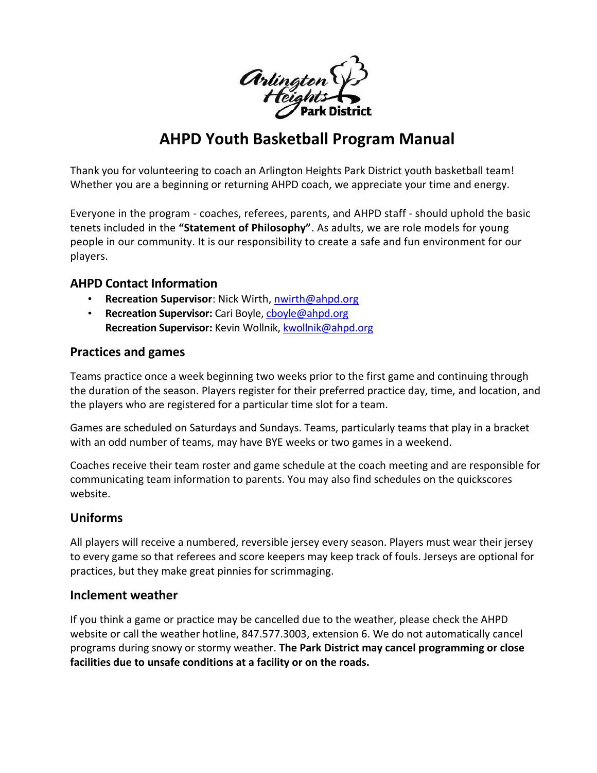

# **AHPD Youth Basketball Program Manual**

Thank you for volunteering to coach an Arlington Heights Park District youth basketball team! Whether you are a beginning or returning AHPD coach, we appreciate your time and energy.

Everyone in the program - coaches, referees, parents, and AHPD staff - should uphold the basic tenets included in the **"Statement of Philosophy"**. As adults, we are role models for young people in our community. It is our responsibility to create a safe and fun environment for our players.

## **AHPD Contact Information**

- **Recreation Supervisor**: Nick Wirth, [nwirth@ahpd.org](mailto:nwirth@ahpd.org)
- **Recreation Supervisor:** Cari Boyle, [cboyle@ahpd.org](mailto:cboyle@ahpd.org) **Recreation Supervisor:** Kevin Wollnik, [kwollnik@ahpd.org](mailto:kwollnik@ahpd.org)

#### **Practices and games**

Teams practice once a week beginning two weeks prior to the first game and continuing through the duration of the season. Players register for their preferred practice day, time, and location, and the players who are registered for a particular time slot for a team.

Games are scheduled on Saturdays and Sundays. Teams, particularly teams that play in a bracket with an odd number of teams, may have BYE weeks or two games in a weekend.

Coaches receive their team roster and game schedule at the coach meeting and are responsible for communicating team information to parents. You may also find schedules on the quickscores website.

## **Uniforms**

All players will receive a numbered, reversible jersey every season. Players must wear their jersey to every game so that referees and score keepers may keep track of fouls. Jerseys are optional for practices, but they make great pinnies for scrimmaging.

#### **Inclement weather**

If you think a game or practice may be cancelled due to the weather, please check the AHPD website or call the weather hotline, 847.577.3003, extension 6. We do not automatically cancel programs during snowy or stormy weather. **The Park District may cancel programming or close facilities due to unsafe conditions at a facility or on the roads.**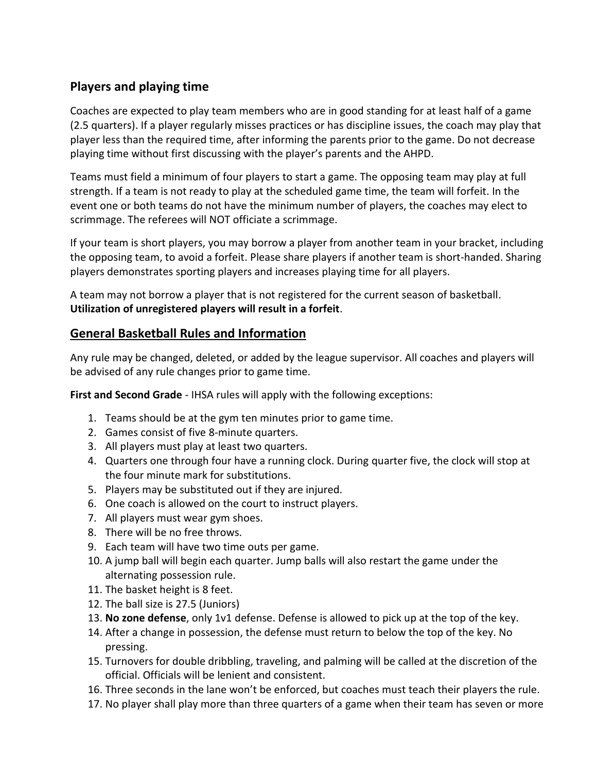## **Players and playing time**

Coaches are expected to play team members who are in good standing for at least half of a game (2.5 quarters). If a player regularly misses practices or has discipline issues, the coach may play that player less than the required time, after informing the parents prior to the game. Do not decrease playing time without first discussing with the player's parents and the AHPD.

Teams must field a minimum of four players to start a game. The opposing team may play at full strength. If a team is not ready to play at the scheduled game time, the team will forfeit. In the event one or both teams do not have the minimum number of players, the coaches may elect to scrimmage. The referees will NOT officiate a scrimmage.

If your team is short players, you may borrow a player from another team in your bracket, including the opposing team, to avoid a forfeit. Please share players if another team is short-handed. Sharing players demonstrates sporting players and increases playing time for all players.

A team may not borrow a player that is not registered for the current season of basketball. **Utilization of unregistered players will result in a forfeit**.

## **General Basketball Rules and Information**

Any rule may be changed, deleted, or added by the league supervisor. All coaches and players will be advised of any rule changes prior to game time.

**First and Second Grade** - IHSA rules will apply with the following exceptions:

- 1. Teams should be at the gym ten minutes prior to game time.
- 2. Games consist of five 8-minute quarters.
- 3. All players must play at least two quarters.
- 4. Quarters one through four have a running clock. During quarter five, the clock will stop at the four minute mark for substitutions.
- 5. Players may be substituted out if they are injured.
- 6. One coach is allowed on the court to instruct players.
- 7. All players must wear gym shoes.
- 8. There will be no free throws.
- 9. Each team will have two time outs per game.
- 10. A jump ball will begin each quarter. Jump balls will also restart the game under the alternating possession rule.
- 11. The basket height is 8 feet.
- 12. The ball size is 27.5 (Juniors)
- 13. **No zone defense**, only 1v1 defense. Defense is allowed to pick up at the top of the key.
- 14. After a change in possession, the defense must return to below the top of the key. No pressing.
- 15. Turnovers for double dribbling, traveling, and palming will be called at the discretion of the official. Officials will be lenient and consistent.
- 16. Three seconds in the lane won't be enforced, but coaches must teach their players the rule.
- 17. No player shall play more than three quarters of a game when their team has seven or more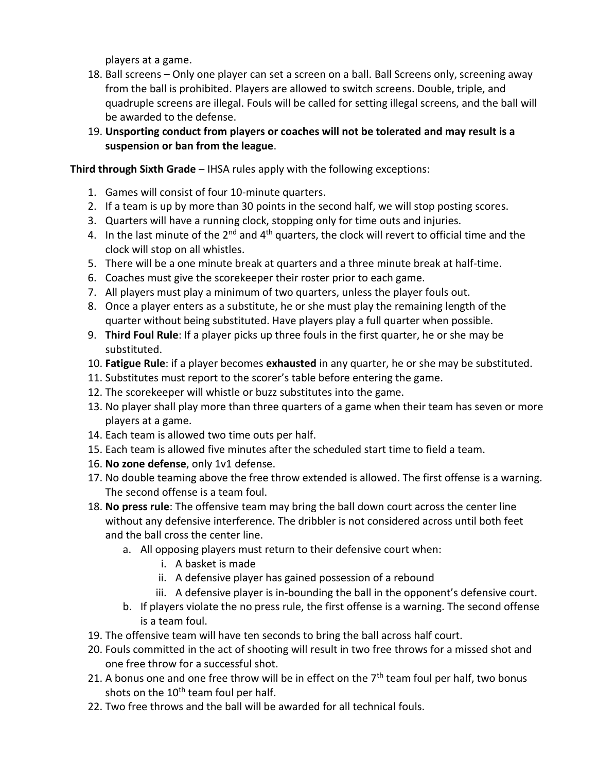players at a game.

- 18. Ball screens Only one player can set a screen on a ball. Ball Screens only, screening away from the ball is prohibited. Players are allowed to switch screens. Double, triple, and quadruple screens are illegal. Fouls will be called for setting illegal screens, and the ball will be awarded to the defense.
- 19. **Unsporting conduct from players or coaches will not be tolerated and may result is a suspension or ban from the league**.

#### **Third through Sixth Grade** – IHSA rules apply with the following exceptions:

- 1. Games will consist of four 10-minute quarters.
- 2. If a team is up by more than 30 points in the second half, we will stop posting scores.
- 3. Quarters will have a running clock, stopping only for time outs and injuries.
- 4. In the last minute of the  $2^{nd}$  and  $4^{th}$  quarters, the clock will revert to official time and the clock will stop on all whistles.
- 5. There will be a one minute break at quarters and a three minute break at half-time.
- 6. Coaches must give the scorekeeper their roster prior to each game.
- 7. All players must play a minimum of two quarters, unless the player fouls out.
- 8. Once a player enters as a substitute, he or she must play the remaining length of the quarter without being substituted. Have players play a full quarter when possible.
- 9. **Third Foul Rule**: If a player picks up three fouls in the first quarter, he or she may be substituted.
- 10. **Fatigue Rule**: if a player becomes **exhausted** in any quarter, he or she may be substituted.
- 11. Substitutes must report to the scorer's table before entering the game.
- 12. The scorekeeper will whistle or buzz substitutes into the game.
- 13. No player shall play more than three quarters of a game when their team has seven or more players at a game.
- 14. Each team is allowed two time outs per half.
- 15. Each team is allowed five minutes after the scheduled start time to field a team.
- 16. **No zone defense**, only 1v1 defense.
- 17. No double teaming above the free throw extended is allowed. The first offense is a warning. The second offense is a team foul.
- 18. **No press rule**: The offensive team may bring the ball down court across the center line without any defensive interference. The dribbler is not considered across until both feet and the ball cross the center line.
	- a. All opposing players must return to their defensive court when:
		- i. A basket is made
		- ii. A defensive player has gained possession of a rebound
		- iii. A defensive player is in-bounding the ball in the opponent's defensive court.
	- b. If players violate the no press rule, the first offense is a warning. The second offense is a team foul.
- 19. The offensive team will have ten seconds to bring the ball across half court.
- 20. Fouls committed in the act of shooting will result in two free throws for a missed shot and one free throw for a successful shot.
- 21. A bonus one and one free throw will be in effect on the  $7<sup>th</sup>$  team foul per half, two bonus shots on the  $10<sup>th</sup>$  team foul per half.
- 22. Two free throws and the ball will be awarded for all technical fouls.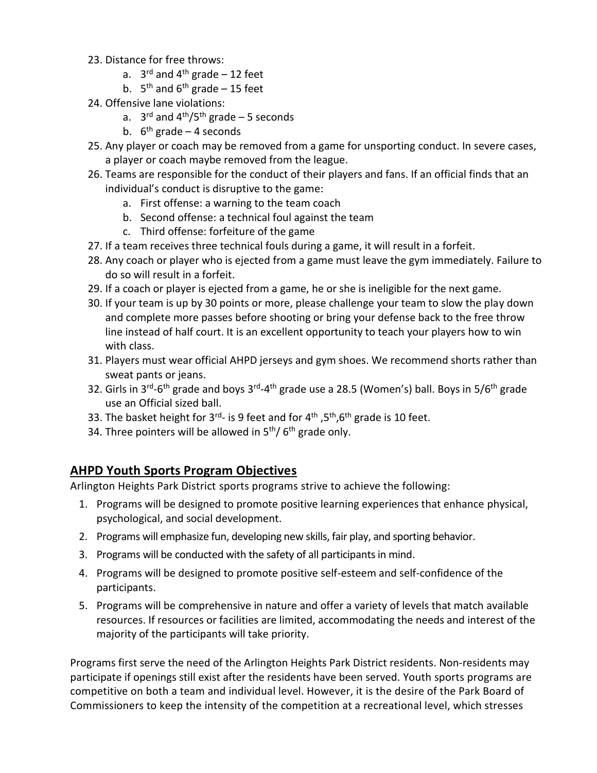- 23. Distance for free throws:
	- a. 3<sup>rd</sup> and 4<sup>th</sup> grade 12 feet
	- b.  $5<sup>th</sup>$  and  $6<sup>th</sup>$  grade 15 feet
- 24. Offensive lane violations:
	- a. 3<sup>rd</sup> and 4<sup>th</sup>/5<sup>th</sup> grade 5 seconds
	- b. 6<sup>th</sup> grade 4 seconds
- 25. Any player or coach may be removed from a game for unsporting conduct. In severe cases, a player or coach maybe removed from the league.
- 26. Teams are responsible for the conduct of their players and fans. If an official finds that an individual's conduct is disruptive to the game:
	- a. First offense: a warning to the team coach
	- b. Second offense: a technical foul against the team
	- c. Third offense: forfeiture of the game
- 27. If a team receives three technical fouls during a game, it will result in a forfeit.
- 28. Any coach or player who is ejected from a game must leave the gym immediately. Failure to do so will result in a forfeit.
- 29. If a coach or player is ejected from a game, he or she is ineligible for the next game.
- 30. If your team is up by 30 points or more, please challenge your team to slow the play down and complete more passes before shooting or bring your defense back to the free throw line instead of half court. It is an excellent opportunity to teach your players how to win with class.
- 31. Players must wear official AHPD jerseys and gym shoes. We recommend shorts rather than sweat pants or jeans.
- 32. Girls in 3<sup>rd</sup>-6<sup>th</sup> grade and boys 3<sup>rd</sup>-4<sup>th</sup> grade use a 28.5 (Women's) ball. Boys in 5/6<sup>th</sup> grade use an Official sized ball.
- 33. The basket height for 3<sup>rd</sup>- is 9 feet and for 4<sup>th</sup> ,5<sup>th</sup>,6<sup>th</sup> grade is 10 feet.
- 34. Three pointers will be allowed in 5<sup>th</sup>/ 6<sup>th</sup> grade only.

# **AHPD Youth Sports Program Objectives**

Arlington Heights Park District sports programs strive to achieve the following:

- 1. Programs will be designed to promote positive learning experiences that enhance physical, psychological, and social development.
- 2. Programs will emphasize fun, developing new skills, fair play, and sporting behavior.
- 3. Programs will be conducted with the safety of all participants in mind.
- 4. Programs will be designed to promote positive self-esteem and self-confidence of the participants.
- 5. Programs will be comprehensive in nature and offer a variety of levels that match available resources. If resources or facilities are limited, accommodating the needs and interest of the majority of the participants will take priority.

Programs first serve the need of the Arlington Heights Park District residents. Non-residents may participate if openings still exist after the residents have been served. Youth sports programs are competitive on both a team and individual level. However, it is the desire of the Park Board of Commissioners to keep the intensity of the competition at a recreational level, which stresses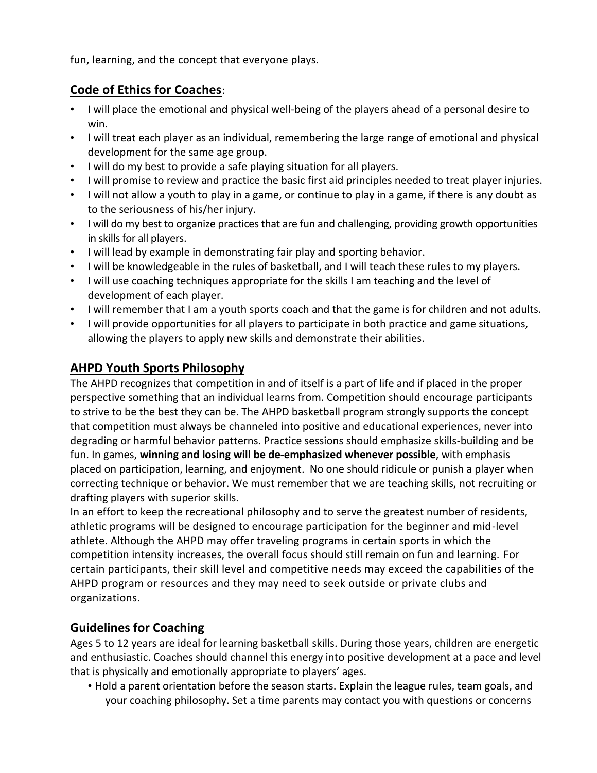fun, learning, and the concept that everyone plays.

# **Code of Ethics for Coaches**:

- I will place the emotional and physical well-being of the players ahead of a personal desire to win.
- I will treat each player as an individual, remembering the large range of emotional and physical development for the same age group.
- I will do my best to provide a safe playing situation for all players.
- I will promise to review and practice the basic first aid principles needed to treat player injuries.
- I will not allow a youth to play in a game, or continue to play in a game, if there is any doubt as to the seriousness of his/her injury.
- I will do my best to organize practices that are fun and challenging, providing growth opportunities in skills for all players.
- I will lead by example in demonstrating fair play and sporting behavior.
- I will be knowledgeable in the rules of basketball, and I will teach these rules to my players.
- I will use coaching techniques appropriate for the skills I am teaching and the level of development of each player.
- I will remember that I am a youth sports coach and that the game is for children and not adults.
- I will provide opportunities for all players to participate in both practice and game situations, allowing the players to apply new skills and demonstrate their abilities.

# **AHPD Youth Sports Philosophy**

The AHPD recognizes that competition in and of itself is a part of life and if placed in the proper perspective something that an individual learns from. Competition should encourage participants to strive to be the best they can be. The AHPD basketball program strongly supports the concept that competition must always be channeled into positive and educational experiences, never into degrading or harmful behavior patterns. Practice sessions should emphasize skills-building and be fun. In games, **winning and losing will be de-emphasized whenever possible**, with emphasis placed on participation, learning, and enjoyment. No one should ridicule or punish a player when correcting technique or behavior. We must remember that we are teaching skills, not recruiting or drafting players with superior skills.

In an effort to keep the recreational philosophy and to serve the greatest number of residents, athletic programs will be designed to encourage participation for the beginner and mid-level athlete. Although the AHPD may offer traveling programs in certain sports in which the competition intensity increases, the overall focus should still remain on fun and learning. For certain participants, their skill level and competitive needs may exceed the capabilities of the AHPD program or resources and they may need to seek outside or private clubs and organizations.

# **Guidelines for Coaching**

Ages 5 to 12 years are ideal for learning basketball skills. During those years, children are energetic and enthusiastic. Coaches should channel this energy into positive development at a pace and level that is physically and emotionally appropriate to players' ages.

• Hold a parent orientation before the season starts. Explain the league rules, team goals, and your coaching philosophy. Set a time parents may contact you with questions or concerns